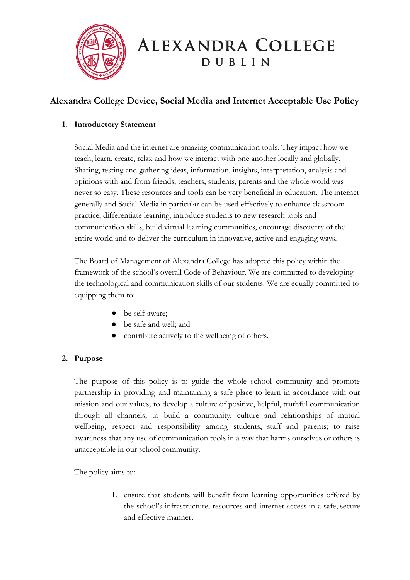

# **ALEXANDRA COLLEGE** DUBLIN

# **Alexandra College Device, Social Media and Internet Acceptable Use Policy**

## **1. Introductory Statement**

Social Media and the internet are amazing communication tools. They impact how we teach, learn, create, relax and how we interact with one another locally and globally. Sharing, testing and gathering ideas, information, insights, interpretation, analysis and opinions with and from friends, teachers, students, parents and the whole world was never so easy. These resources and tools can be very beneficial in education. The internet generally and Social Media in particular can be used effectively to enhance classroom practice, differentiate learning, introduce students to new research tools and communication skills, build virtual learning communities, encourage discovery of the entire world and to deliver the curriculum in innovative, active and engaging ways.

The Board of Management of Alexandra College has adopted this policy within the framework of the school's overall Code of Behaviour. We are committed to developing the technological and communication skills of our students. We are equally committed to equipping them to:

- be self-aware;
- be safe and well; and
- contribute actively to the wellbeing of others.

## **2. Purpose**

The purpose of this policy is to guide the whole school community and promote partnership in providing and maintaining a safe place to learn in accordance with our mission and our values; to develop a culture of positive, helpful, truthful communication through all channels; to build a community, culture and relationships of mutual wellbeing, respect and responsibility among students, staff and parents; to raise awareness that any use of communication tools in a way that harms ourselves or others is unacceptable in our school community.

The policy aims to:

1. ensure that students will benefit from learning opportunities offered by the school's infrastructure, resources and internet access in a safe, secure and effective manner;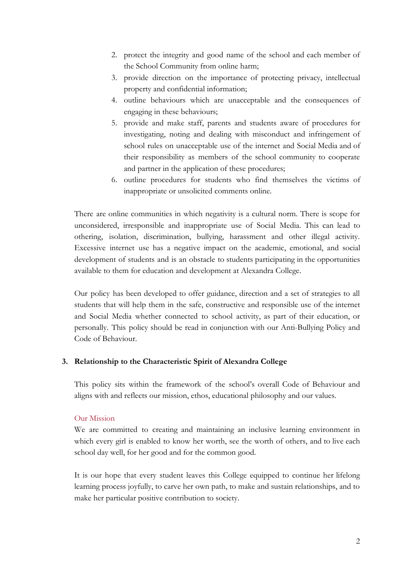- 2. protect the integrity and good name of the school and each member of the School Community from online harm;
- 3. provide direction on the importance of protecting privacy, intellectual property and confidential information;
- 4. outline behaviours which are unacceptable and the consequences of engaging in these behaviours;
- 5. provide and make staff, parents and students aware of procedures for investigating, noting and dealing with misconduct and infringement of school rules on unacceptable use of the internet and Social Media and of their responsibility as members of the school community to cooperate and partner in the application of these procedures;
- 6. outline procedures for students who find themselves the victims of inappropriate or unsolicited comments online.

There are online communities in which negativity is a cultural norm. There is scope for unconsidered, irresponsible and inappropriate use of Social Media. This can lead to othering, isolation, discrimination, bullying, harassment and other illegal activity. Excessive internet use has a negative impact on the academic, emotional, and social development of students and is an obstacle to students participating in the opportunities available to them for education and development at Alexandra College.

Our policy has been developed to offer guidance, direction and a set of strategies to all students that will help them in the safe, constructive and responsible use of the internet and Social Media whether connected to school activity, as part of their education, or personally. This policy should be read in conjunction with our Anti-Bullying Policy and Code of Behaviour.

#### **3. Relationship to the Characteristic Spirit of Alexandra College**

This policy sits within the framework of the school's overall Code of Behaviour and aligns with and reflects our mission, ethos, educational philosophy and our values.

#### Our Mission

We are committed to creating and maintaining an inclusive learning environment in which every girl is enabled to know her worth, see the worth of others, and to live each school day well, for her good and for the common good.

It is our hope that every student leaves this College equipped to continue her lifelong learning process joyfully, to carve her own path, to make and sustain relationships, and to make her particular positive contribution to society.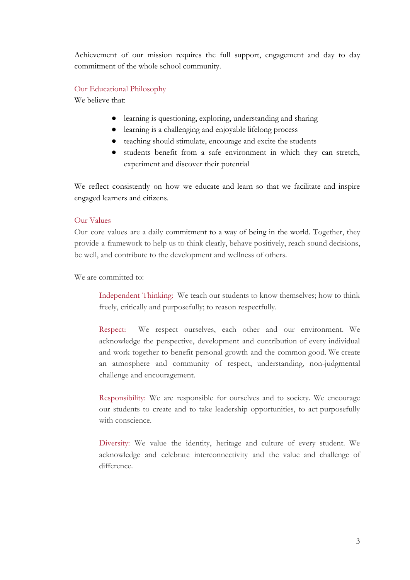Achievement of our mission requires the full support, engagement and day to day commitment of the whole school community.

#### Our Educational Philosophy

We believe that:

- learning is questioning, exploring, understanding and sharing
- learning is a challenging and enjoyable lifelong process
- teaching should stimulate, encourage and excite the students
- students benefit from a safe environment in which they can stretch, experiment and discover their potential

We reflect consistently on how we educate and learn so that we facilitate and inspire engaged learners and citizens.

#### Our Values

Our core values are a daily commitment to a way of being in the world. Together, they provide a framework to help us to think clearly, behave positively, reach sound decisions, be well, and contribute to the development and wellness of others.

We are committed to:

Independent Thinking: We teach our students to know themselves; how to think freely, critically and purposefully; to reason respectfully.

Respect: We respect ourselves, each other and our environment. We acknowledge the perspective, development and contribution of every individual and work together to benefit personal growth and the common good. We create an atmosphere and community of respect, understanding, non-judgmental challenge and encouragement.

Responsibility: We are responsible for ourselves and to society. We encourage our students to create and to take leadership opportunities, to act purposefully with conscience.

Diversity: We value the identity, heritage and culture of every student. We acknowledge and celebrate interconnectivity and the value and challenge of difference.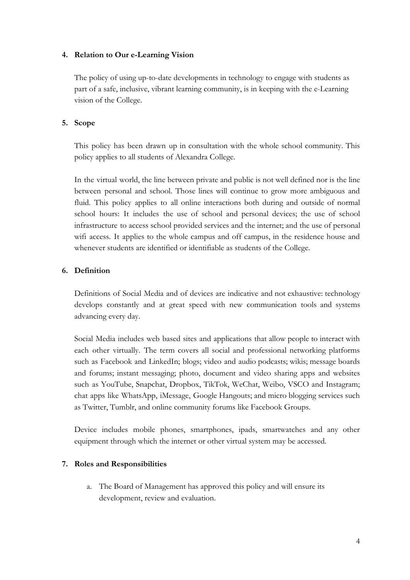#### **4. Relation to Our e-Learning Vision**

The policy of using up-to-date developments in technology to engage with students as part of a safe, inclusive, vibrant learning community, is in keeping with the e-Learning vision of the College.

#### **5. Scope**

This policy has been drawn up in consultation with the whole school community. This policy applies to all students of Alexandra College.

In the virtual world, the line between private and public is not well defined nor is the line between personal and school. Those lines will continue to grow more ambiguous and fluid. This policy applies to all online interactions both during and outside of normal school hours: It includes the use of school and personal devices; the use of school infrastructure to access school provided services and the internet; and the use of personal wifi access. It applies to the whole campus and off campus, in the residence house and whenever students are identified or identifiable as students of the College.

#### **6. Definition**

Definitions of Social Media and of devices are indicative and not exhaustive: technology develops constantly and at great speed with new communication tools and systems advancing every day.

Social Media includes web based sites and applications that allow people to interact with each other virtually. The term covers all social and professional networking platforms such as Facebook and LinkedIn; blogs; video and audio podcasts; wikis; message boards and forums; instant messaging; photo, document and video sharing apps and websites such as YouTube, Snapchat, Dropbox, TikTok, WeChat, Weibo, VSCO and Instagram; chat apps like WhatsApp, iMessage, Google Hangouts; and micro blogging services such as Twitter, Tumblr, and online community forums like Facebook Groups.

Device includes mobile phones, smartphones, ipads, smartwatches and any other equipment through which the internet or other virtual system may be accessed.

#### **7. Roles and Responsibilities**

a. The Board of Management has approved this policy and will ensure its development, review and evaluation.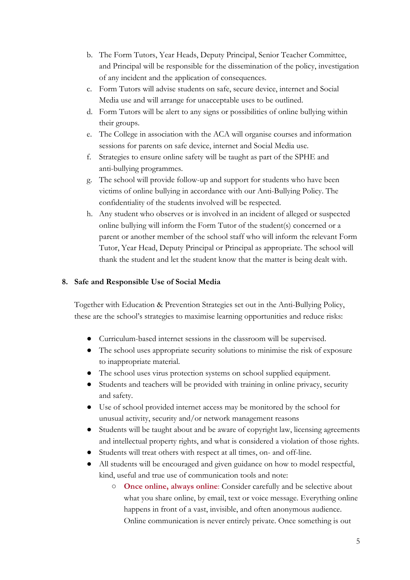- b. The Form Tutors, Year Heads, Deputy Principal, Senior Teacher Committee, and Principal will be responsible for the dissemination of the policy, investigation of any incident and the application of consequences.
- c. Form Tutors will advise students on safe, secure device, internet and Social Media use and will arrange for unacceptable uses to be outlined.
- d. Form Tutors will be alert to any signs or possibilities of online bullying within their groups.
- e. The College in association with the ACA will organise courses and information sessions for parents on safe device, internet and Social Media use.
- f. Strategies to ensure online safety will be taught as part of the SPHE and anti-bullying programmes.
- g. The school will provide follow-up and support for students who have been victims of online bullying in accordance with our Anti-Bullying Policy. The confidentiality of the students involved will be respected.
- h. Any student who observes or is involved in an incident of alleged or suspected online bullying will inform the Form Tutor of the student(s) concerned or a parent or another member of the school staff who will inform the relevant Form Tutor, Year Head, Deputy Principal or Principal as appropriate. The school will thank the student and let the student know that the matter is being dealt with.

#### **8. Safe and Responsible Use of Social Media**

Together with Education & Prevention Strategies set out in the Anti-Bullying Policy, these are the school's strategies to maximise learning opportunities and reduce risks:

- Curriculum-based internet sessions in the classroom will be supervised.
- The school uses appropriate security solutions to minimise the risk of exposure to inappropriate material.
- The school uses virus protection systems on school supplied equipment.
- Students and teachers will be provided with training in online privacy, security and safety.
- Use of school provided internet access may be monitored by the school for unusual activity, security and/or network management reasons
- Students will be taught about and be aware of copyright law, licensing agreements and intellectual property rights, and what is considered a violation of those rights.
- Students will treat others with respect at all times, on- and off-line.
- All students will be encouraged and given guidance on how to model respectful, kind, useful and true use of communication tools and note:
	- **Once online, always online**: Consider carefully and be selective about what you share online, by email, text or voice message. Everything online happens in front of a vast, invisible, and often anonymous audience. Online communication is never entirely private. Once something is out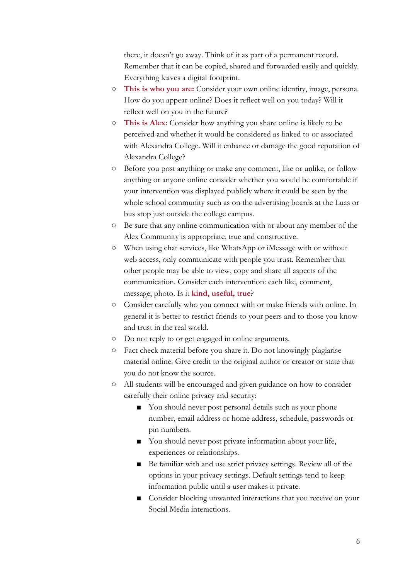there, it doesn't go away. Think of it as part of a permanent record. Remember that it can be copied, shared and forwarded easily and quickly. Everything leaves a digital footprint.

- **This is who you are:** Consider your own online identity, image, persona. How do you appear online? Does it reflect well on you today? Will it reflect well on you in the future?
- **This is Alex:** Consider how anything you share online is likely to be perceived and whether it would be considered as linked to or associated with Alexandra College. Will it enhance or damage the good reputation of Alexandra College?
- Before you post anything or make any comment, like or unlike, or follow anything or anyone online consider whether you would be comfortable if your intervention was displayed publicly where it could be seen by the whole school community such as on the advertising boards at the Luas or bus stop just outside the college campus.
- Be sure that any online communication with or about any member of the Alex Community is appropriate, true and constructive.
- When using chat services, like WhatsApp or iMessage with or without web access, only communicate with people you trust. Remember that other people may be able to view, copy and share all aspects of the communication. Consider each intervention: each like, comment, message, photo. Is it **kind, useful, true**?
- Consider carefully who you connect with or make friends with online. In general it is better to restrict friends to your peers and to those you know and trust in the real world.
- Do not reply to or get engaged in online arguments.
- Fact check material before you share it. Do not knowingly plagiarise material online. Give credit to the original author or creator or state that you do not know the source.
- All students will be encouraged and given guidance on how to consider carefully their online privacy and security:
	- You should never post personal details such as your phone number, email address or home address, schedule, passwords or pin numbers.
	- You should never post private information about your life, experiences or relationships.
	- Be familiar with and use strict privacy settings. Review all of the options in your privacy settings. Default settings tend to keep information public until a user makes it private.
	- Consider blocking unwanted interactions that you receive on your Social Media interactions.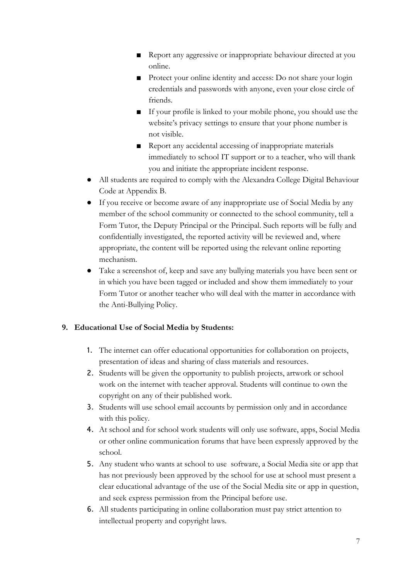- Report any aggressive or inappropriate behaviour directed at you online.
- Protect your online identity and access: Do not share your login credentials and passwords with anyone, even your close circle of friends.
- If your profile is linked to your mobile phone, you should use the website's privacy settings to ensure that your phone number is not visible.
- Report any accidental accessing of inappropriate materials immediately to school IT support or to a teacher, who will thank you and initiate the appropriate incident response.
- All students are required to comply with the Alexandra College Digital Behaviour Code at Appendix B.
- If you receive or become aware of any inappropriate use of Social Media by any member of the school community or connected to the school community, tell a Form Tutor, the Deputy Principal or the Principal. Such reports will be fully and confidentially investigated, the reported activity will be reviewed and, where appropriate, the content will be reported using the relevant online reporting mechanism.
- Take a screenshot of, keep and save any bullying materials you have been sent or in which you have been tagged or included and show them immediately to your Form Tutor or another teacher who will deal with the matter in accordance with the Anti-Bullying Policy.

## **9. Educational Use of Social Media by Students:**

- 1. The internet can offer educational opportunities for collaboration on projects, presentation of ideas and sharing of class materials and resources.
- 2. Students will be given the opportunity to publish projects, artwork or school work on the internet with teacher approval. Students will continue to own the copyright on any of their published work.
- 3. Students will use school email accounts by permission only and in accordance with this policy.
- 4. At school and for school work students will only use software, apps, Social Media or other online communication forums that have been expressly approved by the school.
- 5. Any student who wants at school to use software, a Social Media site or app that has not previously been approved by the school for use at school must present a clear educational advantage of the use of the Social Media site or app in question, and seek express permission from the Principal before use.
- 6. All students participating in online collaboration must pay strict attention to intellectual property and copyright laws.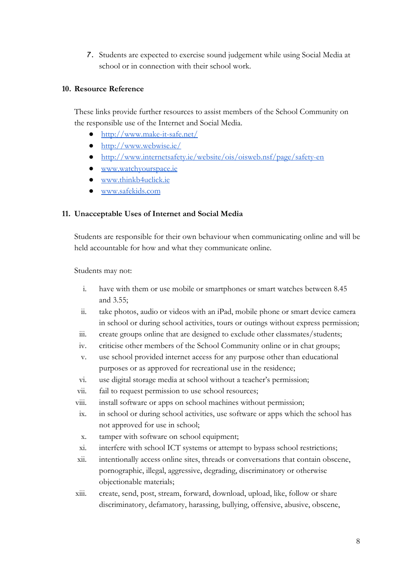7. Students are expected to exercise sound judgement while using Social Media at school or in connection with their school work.

#### **10. Resource Reference**

These links provide further resources to assist members of the School Community on the responsible use of the Internet and Social Media.

- <http://www.make-it-safe.net/>
- <http://www.webwise.ie/>
- <http://www.internetsafety.ie/website/ois/oisweb.nsf/page/safety-en>
- [www.watchyourspace.ie](http://www.watchyourspace.ie/)
- [www.thinkb4uclick.ie](http://www.thinkb4uclick.ie/)
- [www.safekids.com](http://www.safekids.com/)

#### **11. Unacceptable Uses of Internet and Social Media**

Students are responsible for their own behaviour when communicating online and will be held accountable for how and what they communicate online.

Students may not:

- i. have with them or use mobile or smartphones or smart watches between 8.45 and 3.55;
- ii. take photos, audio or videos with an iPad, mobile phone or smart device camera in school or during school activities, tours or outings without express permission;
- iii. create groups online that are designed to exclude other classmates/students;
- iv. criticise other members of the School Community online or in chat groups;
- v. use school provided internet access for any purpose other than educational purposes or as approved for recreational use in the residence;
- vi. use digital storage media at school without a teacher's permission;
- vii. fail to request permission to use school resources;
- viii. install software or apps on school machines without permission;
- ix. in school or during school activities, use software or apps which the school has not approved for use in school;
- x. tamper with software on school equipment;
- xi. interfere with school ICT systems or attempt to bypass school restrictions;
- xii. intentionally access online sites, threads or conversations that contain obscene, pornographic, illegal, aggressive, degrading, discriminatory or otherwise objectionable materials;
- xiii. create, send, post, stream, forward, download, upload, like, follow or share discriminatory, defamatory, harassing, bullying, offensive, abusive, obscene,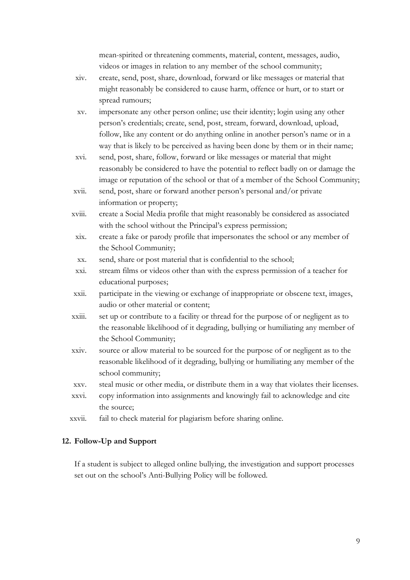mean-spirited or threatening comments, material, content, messages, audio, videos or images in relation to any member of the school community;

- xiv. create, send, post, share, download, forward or like messages or material that might reasonably be considered to cause harm, offence or hurt, or to start or spread rumours;
- xv. impersonate any other person online; use their identity; login using any other person's credentials; create, send, post, stream, forward, download, upload, follow, like any content or do anything online in another person's name or in a way that is likely to be perceived as having been done by them or in their name;
- xvi. send, post, share, follow, forward or like messages or material that might reasonably be considered to have the potential to reflect badly on or damage the image or reputation of the school or that of a member of the School Community;
- xvii. send, post, share or forward another person's personal and/or private information or property;
- xviii. create a Social Media profile that might reasonably be considered as associated with the school without the Principal's express permission;
- xix. create a fake or parody profile that impersonates the school or any member of the School Community;
- xx. send, share or post material that is confidential to the school;
- xxi. stream films or videos other than with the express permission of a teacher for educational purposes;
- xxii. participate in the viewing or exchange of inappropriate or obscene text, images, audio or other material or content;
- xxiii. set up or contribute to a facility or thread for the purpose of or negligent as to the reasonable likelihood of it degrading, bullying or humiliating any member of the School Community;
- xxiv. source or allow material to be sourced for the purpose of or negligent as to the reasonable likelihood of it degrading, bullying or humiliating any member of the school community;
- xxv. steal music or other media, or distribute them in a way that violates their licenses.
- xxvi. copy information into assignments and knowingly fail to acknowledge and cite the source;
- xxvii. fail to check material for plagiarism before sharing online.

#### **12. Follow-Up and Support**

If a student is subject to alleged online bullying, the investigation and support processes set out on the school's Anti-Bullying Policy will be followed.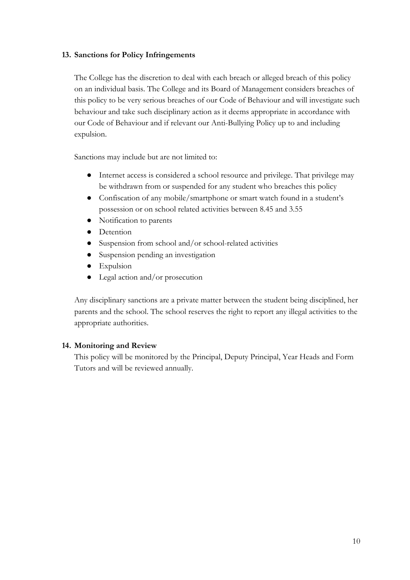#### **13. Sanctions for Policy Infringements**

The College has the discretion to deal with each breach or alleged breach of this policy on an individual basis. The College and its Board of Management considers breaches of this policy to be very serious breaches of our Code of Behaviour and will investigate such behaviour and take such disciplinary action as it deems appropriate in accordance with our Code of Behaviour and if relevant our Anti-Bullying Policy up to and including expulsion.

Sanctions may include but are not limited to:

- Internet access is considered a school resource and privilege. That privilege may be withdrawn from or suspended for any student who breaches this policy
- Confiscation of any mobile/smartphone or smart watch found in a student's possession or on school related activities between 8.45 and 3.55
- Notification to parents
- Detention
- Suspension from school and/or school-related activities
- Suspension pending an investigation
- Expulsion
- Legal action and/or prosecution

Any disciplinary sanctions are a private matter between the student being disciplined, her parents and the school. The school reserves the right to report any illegal activities to the appropriate authorities.

#### **14. Monitoring and Review**

This policy will be monitored by the Principal, Deputy Principal, Year Heads and Form Tutors and will be reviewed annually.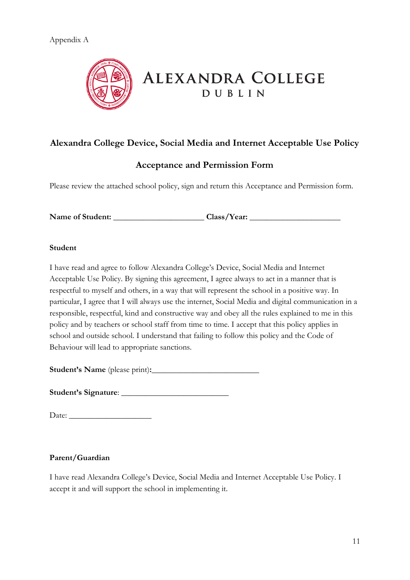

# **ALEXANDRA COLLEGE DUBLIN**

## **Alexandra College Device, Social Media and Internet Acceptable Use Policy**

## **Acceptance and Permission Form**

Please review the attached school policy, sign and return this Acceptance and Permission form.

**Name of Student:** \_\_\_\_\_\_\_\_\_\_\_\_\_\_\_\_\_\_\_\_\_\_ **Class/Year:** \_\_\_\_\_\_\_\_\_\_\_\_\_\_\_\_\_\_\_\_\_\_

#### **Student**

I have read and agree to follow Alexandra College's Device, Social Media and Internet Acceptable Use Policy. By signing this agreement, I agree always to act in a manner that is respectful to myself and others, in a way that will represent the school in a positive way. In particular, I agree that I will always use the internet, Social Media and digital communication in a responsible, respectful, kind and constructive way and obey all the rules explained to me in this policy and by teachers or school staff from time to time. I accept that this policy applies in school and outside school. I understand that failing to follow this policy and the Code of Behaviour will lead to appropriate sanctions.

**Student's Name** (please print)**:**\_\_\_\_\_\_\_\_\_\_\_\_\_\_\_\_\_\_\_\_\_\_\_\_\_\_

**Student's Signature**: \_\_\_\_\_\_\_\_\_\_\_\_\_\_\_\_\_\_\_\_\_\_\_\_\_\_

Date: \_\_\_\_\_\_\_\_\_\_\_\_\_\_\_\_\_\_\_\_

## **Parent/Guardian**

I have read Alexandra College's Device, Social Media and Internet Acceptable Use Policy. I accept it and will support the school in implementing it.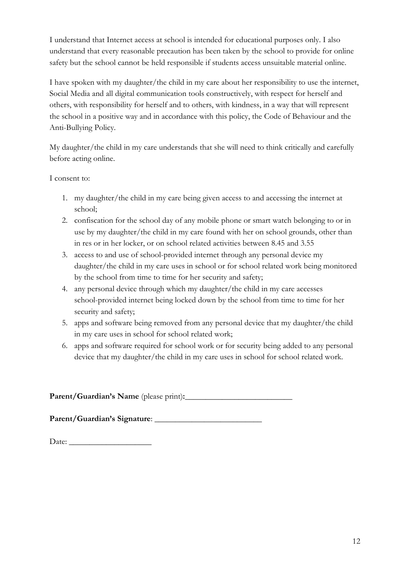I understand that Internet access at school is intended for educational purposes only. I also understand that every reasonable precaution has been taken by the school to provide for online safety but the school cannot be held responsible if students access unsuitable material online.

I have spoken with my daughter/the child in my care about her responsibility to use the internet, Social Media and all digital communication tools constructively, with respect for herself and others, with responsibility for herself and to others, with kindness, in a way that will represent the school in a positive way and in accordance with this policy, the Code of Behaviour and the Anti-Bullying Policy.

My daughter/the child in my care understands that she will need to think critically and carefully before acting online.

I consent to:

- 1. my daughter/the child in my care being given access to and accessing the internet at school;
- 2. confiscation for the school day of any mobile phone or smart watch belonging to or in use by my daughter/the child in my care found with her on school grounds, other than in res or in her locker, or on school related activities between 8.45 and 3.55
- 3. access to and use of school-provided internet through any personal device my daughter/the child in my care uses in school or for school related work being monitored by the school from time to time for her security and safety;
- 4. any personal device through which my daughter/the child in my care accesses school-provided internet being locked down by the school from time to time for her security and safety;
- 5. apps and software being removed from any personal device that my daughter/the child in my care uses in school for school related work;
- 6. apps and software required for school work or for security being added to any personal device that my daughter/the child in my care uses in school for school related work.

**Parent/Guardian's Name** (please print)**:**\_\_\_\_\_\_\_\_\_\_\_\_\_\_\_\_\_\_\_\_\_\_\_\_\_\_

**Parent/Guardian's Signature**: \_\_\_\_\_\_\_\_\_\_\_\_\_\_\_\_\_\_\_\_\_\_\_\_\_\_

Date: \_\_\_\_\_\_\_\_\_\_\_\_\_\_\_\_\_\_\_\_